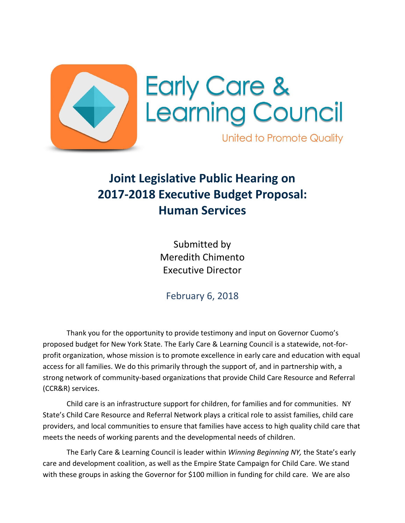



**United to Promote Quality** 

## **Joint Legislative Public Hearing on 2017-2018 Executive Budget Proposal: Human Services**

Submitted by Meredith Chimento Executive Director

February 6, 2018

Thank you for the opportunity to provide testimony and input on Governor Cuomo's proposed budget for New York State. The Early Care & Learning Council is a statewide, not-forprofit organization, whose mission is to promote excellence in early care and education with equal access for all families. We do this primarily through the support of, and in partnership with, a strong network of community-based organizations that provide Child Care Resource and Referral (CCR&R) services.

Child care is an infrastructure support for children, for families and for communities. NY State's Child Care Resource and Referral Network plays a critical role to assist families, child care providers, and local communities to ensure that families have access to high quality child care that meets the needs of working parents and the developmental needs of children.

The Early Care & Learning Council is leader within *Winning Beginning NY,* the State's early care and development coalition, as well as the Empire State Campaign for Child Care. We stand with these groups in asking the Governor for \$100 million in funding for child care. We are also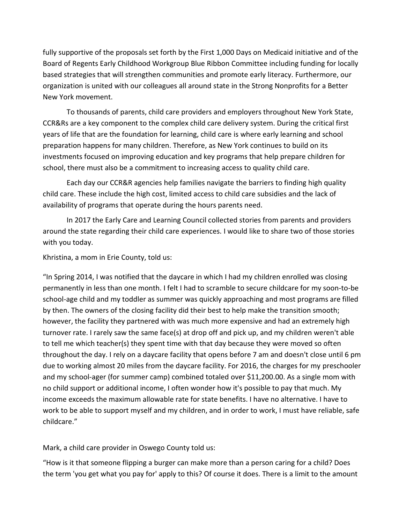fully supportive of the proposals set forth by the First 1,000 Days on Medicaid initiative and of the Board of Regents Early Childhood Workgroup Blue Ribbon Committee including funding for locally based strategies that will strengthen communities and promote early literacy. Furthermore, our organization is united with our colleagues all around state in the Strong Nonprofits for a Better New York movement.

To thousands of parents, child care providers and employers throughout New York State, CCR&Rs are a key component to the complex child care delivery system. During the critical first years of life that are the foundation for learning, child care is where early learning and school preparation happens for many children. Therefore, as New York continues to build on its investments focused on improving education and key programs that help prepare children for school, there must also be a commitment to increasing access to quality child care.

Each day our CCR&R agencies help families navigate the barriers to finding high quality child care. These include the high cost, limited access to child care subsidies and the lack of availability of programs that operate during the hours parents need.

In 2017 the Early Care and Learning Council collected stories from parents and providers around the state regarding their child care experiences. I would like to share two of those stories with you today.

Khristina, a mom in Erie County, told us:

"In Spring 2014, I was notified that the daycare in which I had my children enrolled was closing permanently in less than one month. I felt I had to scramble to secure childcare for my soon-to-be school-age child and my toddler as summer was quickly approaching and most programs are filled by then. The owners of the closing facility did their best to help make the transition smooth; however, the facility they partnered with was much more expensive and had an extremely high turnover rate. I rarely saw the same face(s) at drop off and pick up, and my children weren't able to tell me which teacher(s) they spent time with that day because they were moved so often throughout the day. I rely on a daycare facility that opens before 7 am and doesn't close until 6 pm due to working almost 20 miles from the daycare facility. For 2016, the charges for my preschooler and my school-ager (for summer camp) combined totaled over \$11,200.00. As a single mom with no child support or additional income, I often wonder how it's possible to pay that much. My income exceeds the maximum allowable rate for state benefits. I have no alternative. I have to work to be able to support myself and my children, and in order to work, I must have reliable, safe childcare."

Mark, a child care provider in Oswego County told us:

"How is it that someone flipping a burger can make more than a person caring for a child? Does the term 'you get what you pay for' apply to this? Of course it does. There is a limit to the amount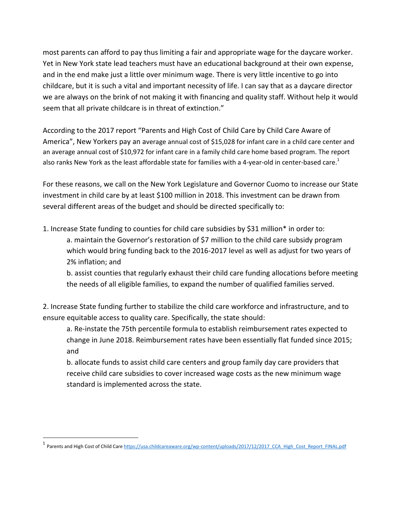most parents can afford to pay thus limiting a fair and appropriate wage for the daycare worker. Yet in New York state lead teachers must have an educational background at their own expense, and in the end make just a little over minimum wage. There is very little incentive to go into childcare, but it is such a vital and important necessity of life. I can say that as a daycare director we are always on the brink of not making it with financing and quality staff. Without help it would seem that all private childcare is in threat of extinction."

According to the 2017 report "Parents and High Cost of Child Care by Child Care Aware of America", New Yorkers pay an average annual cost of \$15,028 for infant care in a child care center and an average annual cost of \$10,972 for infant care in a family child care home based program. The report also ranks New York as the least affordable state for families with a 4-year-old in center-based care.<sup>1</sup>

For these reasons, we call on the New York Legislature and Governor Cuomo to increase our State investment in child care by at least \$100 million in 2018. This investment can be drawn from several different areas of the budget and should be directed specifically to:

1. Increase State funding to counties for child care subsidies by \$31 million\* in order to:

a. maintain the Governor's restoration of \$7 million to the child care subsidy program which would bring funding back to the 2016-2017 level as well as adjust for two years of 2% inflation; and

b. assist counties that regularly exhaust their child care funding allocations before meeting the needs of all eligible families, to expand the number of qualified families served.

2. Increase State funding further to stabilize the child care workforce and infrastructure, and to ensure equitable access to quality care. Specifically, the state should:

a. Re-instate the 75th percentile formula to establish reimbursement rates expected to change in June 2018. Reimbursement rates have been essentially flat funded since 2015; and

b. allocate funds to assist child care centers and group family day care providers that receive child care subsidies to cover increased wage costs as the new minimum wage standard is implemented across the state.

 $\ddot{\phantom{a}}$ 

<sup>1</sup> Parents and High Cost of Child Care https://usa.childcareaware.org/wp-content/uploads/2017/12/2017 CCA High Cost\_Report\_FINAL.pdf